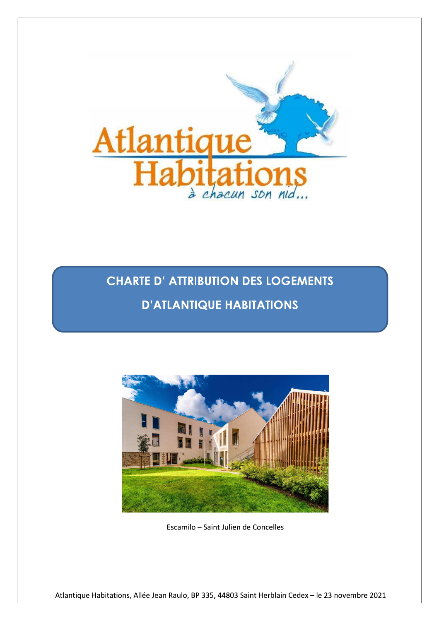

**CHARTE D' ATTRIBUTION DES LOGEMENTS D'ATLANTIQUE HABITATIONS** 



Escamilo - Saint Julien de Concelles

Atlantique Habitations, Allée Jean Raulo, BP 335, 44803 Saint Herblain Cedex - le 23 novembre 2021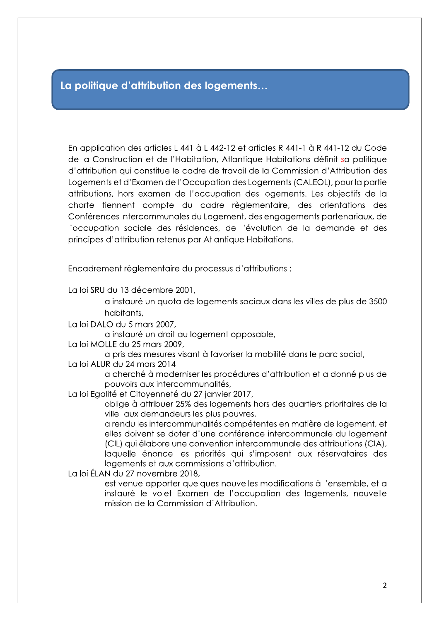# La politique d'attribution des logements...

En application des articles L 441 à L 442-12 et articles R 441-1 à R 441-12 du Code de la Construction et de l'Habitation, Atlantique Habitations définit sa politique d'attribution qui constitue le cadre de travail de la Commission d'Attribution des Logements et d'Examen de l'Occupation des Logements (CALEOL), pour la partie attributions, hors examen de l'occupation des logements. Les objectifs de la charte tiennent compte du cadre règlementaire, des orientations des Conférences Intercommunales du Logement, des engagements partenariaux, de l'occupation sociale des résidences, de l'évolution de la demande et des principes d'attribution retenus par Atlantique Habitations.

Encadrement règlementaire du processus d'attributions :

La loi SRU du 13 décembre 2001,

a instauré un quota de logements sociaux dans les villes de plus de 3500 habitants.

La loi DALO du 5 mars 2007.

a instauré un droit au logement opposable,

La loi MOLLE du 25 mars 2009,

a pris des mesures visant à favoriser la mobilité dans le parc social,

La loi ALUR du 24 mars 2014

a cherché à moderniser les procédures d'attribution et a donné plus de pouvoirs aux intercommunalités,

La loi Egalité et Citoyenneté du 27 janvier 2017,

oblige à attribuer 25% des logements hors des quartiers prioritaires de la ville aux demandeurs les plus pauvres,

a rendu les intercommunalités compétentes en matière de logement, et elles doivent se doter d'une conférence intercommunale du logement (CIL) qui élabore une convention intercommunale des attributions (CIA), laquelle énonce les priorités qui s'imposent aux réservataires des logements et aux commissions d'attribution.

La loi ÉLAN du 27 novembre 2018,

est venue apporter quelques nouvelles modifications à l'ensemble, et a instauré le volet Examen de l'occupation des logements, nouvelle mission de la Commission d'Attribution.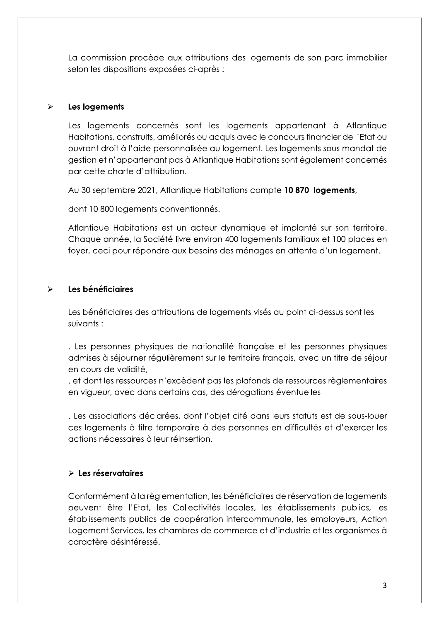La commission procède aux attributions des logements de son parc immobilier selon les dispositions exposées ci-après :

#### $\blacktriangleright$ Les logements

Les logements concernés sont les logements appartenant à Atlantique Habitations, construits, améliorés ou acquis avec le concours financier de l'Etat ou ouvrant droit à l'aide personnalisée au logement. Les logements sous mandat de gestion et n'appartenant pas à Atlantique Habitations sont également concernés par cette charte d'attribution.

Au 30 septembre 2021, Atlantique Habitations compte 10 870 logements,

dont 10 800 logements conventionnés.

Atlantique Habitations est un acteur dynamique et implanté sur son territoire. Chaque année, la Société livre environ 400 logements familiaux et 100 places en foyer, ceci pour répondre aux besoins des ménages en attente d'un logement.

#### Les bénéficiaires  $\blacktriangleright$

Les bénéficiaires des attributions de logements visés au point ci-dessus sont les suivants :

. Les personnes physiques de nationalité française et les personnes physiques admises à séjourner régulièrement sur le territoire français, avec un titre de séjour en cours de validité.

et dont les ressources n'excèdent pas les plafonds de ressources règlementaires en vigueur, avec dans certains cas, des dérogations éventuelles

. Les associations déclarées, dont l'objet cité dans leurs statuts est de sous-louer ces logements à titre temporaire à des personnes en difficultés et d'exercer les actions nécessaires à leur réinsertion.

## $\triangleright$  Les réservataires

Conformément à la règlementation, les bénéficiaires de réservation de logements peuvent être l'Etat, les Collectivités locales, les établissements publics, les établissements publics de coopération intercommunale, les employeurs, Action Logement Services, les chambres de commerce et d'industrie et les organismes à caractère désintéressé.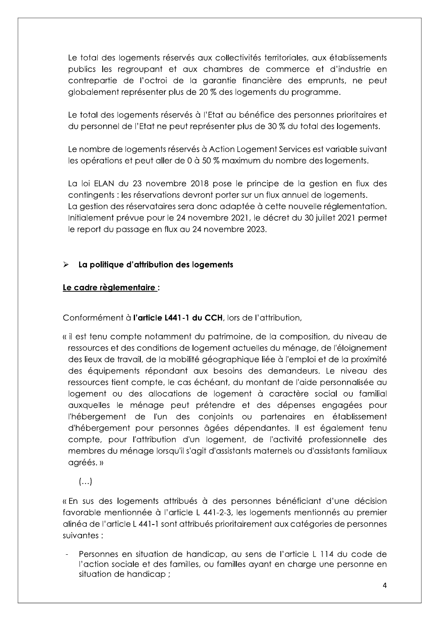Le total des logements réservés aux collectivités territoriales, aux établissements publics les regroupant et aux chambres de commerce et d'industrie en contrepartie de l'octroi de la garantie financière des emprunts, ne peut globalement représenter plus de 20 % des logements du programme.

Le total des logements réservés à l'Etat au bénéfice des personnes prioritaires et du personnel de l'Etat ne peut représenter plus de 30 % du total des logements.

Le nombre de logements réservés à Action Logement Services est variable suivant les opérations et peut aller de 0 à 50 % maximum du nombre des logements.

La loi ELAN du 23 novembre 2018 pose le principe de la gestion en flux des contingents : les réservations devront porter sur un flux annuel de logements. La gestion des réservataires sera donc adaptée à cette nouvelle réglementation. Initialement prévue pour le 24 novembre 2021, le décret du 30 juillet 2021 permet le report du passage en flux au 24 novembre 2023.

#### $\blacktriangleright$ La politique d'attribution des logements

## Le cadre règlementaire :

Conformément à l'article L441-1 du CCH, lors de l'attribution,

- « il est tenu compte notamment du patrimoine, de la composition, du niveau de ressources et des conditions de logement actuelles du ménage, de l'éloignement des lieux de travail, de la mobilité géographique liée à l'emploi et de la proximité des équipements répondant aux besoins des demandeurs. Le niveau des ressources tient compte, le cas échéant, du montant de l'aide personnalisée au logement ou des allocations de logement à caractère social ou familial auxquelles le ménage peut prétendre et des dépenses engagées pour l'hébergement de l'un des conjoints ou partenaires en établissement d'hébergement pour personnes âgées dépendantes. Il est également tenu compte, pour l'attribution d'un logement, de l'activité professionnelle des membres du ménage lorsqu'il s'agit d'assistants maternels ou d'assistants familiaux agréés.»
	- $\left(\ldots\right)$

« En sus des logements attribués à des personnes bénéficiant d'une décision favorable mentionnée à l'article L 441-2-3, les logements mentionnés au premier alinéa de l'article L 441-1 sont attribués prioritairement aux catégories de personnes suivantes :

Personnes en situation de handicap, au sens de l'article L 114 du code de l'action sociale et des familles, ou familles ayant en charge une personne en situation de handicap;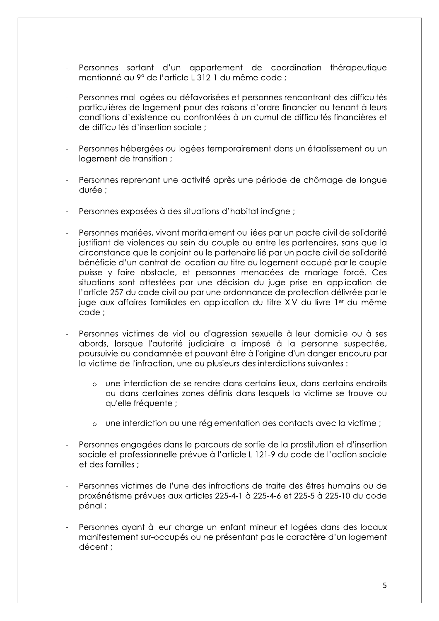- Personnes sortant d'un appartement de coordination thérapeutique mentionné au 9° de l'article L 312-1 du même code :
- Personnes mal logées ou défavorisées et personnes rencontrant des difficultés particulières de logement pour des raisons d'ordre financier ou tenant à leurs conditions d'existence ou confrontées à un cumul de difficultés financières et de difficultés d'insertion sociale :
- Personnes hébergées ou logées temporairement dans un établissement ou un logement de transition ;
- Personnes reprenant une activité après une période de chômage de longue durée :
- Personnes exposées à des situations d'habitat indigne ;
- Personnes mariées, vivant maritalement ou liées par un pacte civil de solidarité justifiant de violences au sein du couple ou entre les partenaires, sans que la circonstance que le conjoint ou le partenaire lié par un pacte civil de solidarité bénéficie d'un contrat de location au titre du logement occupé par le couple puisse y faire obstacle, et personnes menacées de mariage forcé. Ces situations sont attestées par une décision du juge prise en application de l'article 257 du code civil ou par une ordonnance de protection délivrée par le juge aux affaires familiales en application du titre XIV du livre 1<sup>er</sup> du même code:
- Personnes victimes de viol ou d'agression sexuelle à leur domicile ou à ses abords, lorsque l'autorité judiciaire a imposé à la personne suspectée, poursuivie ou condamnée et pouvant être à l'origine d'un danger encouru par la victime de l'infraction, une ou plusieurs des interdictions suivantes :
	- o une interdiction de se rendre dans certains lieux, dans certains endroits ou dans certaines zones définis dans lesquels la victime se trouve ou qu'elle fréquente :
	- o une interdiction ou une réglementation des contacts avec la victime ;
- Personnes engagées dans le parcours de sortie de la prostitution et d'insertion sociale et professionnelle prévue à l'article L 121-9 du code de l'action sociale et des familles :
- Personnes victimes de l'une des infractions de traite des êtres humains ou de proxénétisme prévues aux articles 225-4-1 à 225-4-6 et 225-5 à 225-10 du code pénal :
- Personnes ayant à leur charge un enfant mineur et logées dans des locaux manifestement sur-occupés ou ne présentant pas le caractère d'un logement décent :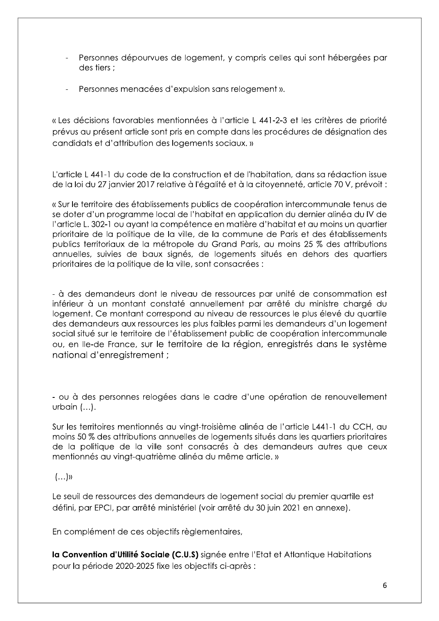- Personnes dépourvues de logement, y compris celles qui sont hébergées par des tiers :
- Personnes menacées d'expulsion sans relogement ».

« Les décisions favorables mentionnées à l'article L 441-2-3 et les critères de priorité prévus au présent article sont pris en compte dans les procédures de désignation des candidats et d'attribution des logements sociaux. »

L'article L441-1 du code de la construction et de l'habitation, dans sa rédaction issue de la loi du 27 janvier 2017 relative à l'égalité et à la citoyenneté, article 70 V, prévoit :

« Sur le territoire des établissements publics de coopération intercommunale tenus de se doter d'un programme local de l'habitat en application du dernier alinéa du IV de l'article L. 302-1 ou ayant la compétence en matière d'habitat et au moins un quartier prioritaire de la politique de la ville, de la commune de Paris et des établissements publics territoriaux de la métropole du Grand Paris, au moins 25 % des attributions annuelles, suivies de baux signés, de logements situés en dehors des quartiers prioritaires de la politique de la ville, sont consacrées :

- à des demandeurs dont le niveau de ressources par unité de consommation est inférieur à un montant constaté annuellement par arrêté du ministre chargé du logement. Ce montant correspond au niveau de ressources le plus élevé du quartile des demandeurs aux ressources les plus faibles parmi les demandeurs d'un logement social situé sur le territoire de l'établissement public de coopération intercommunale ou, en lle-de France, sur le territoire de la région, enregistrés dans le système national d'enreaistrement :

- ou à des personnes relogées dans le cadre d'une opération de renouvellement urbain  $(...)$ .

Sur les territoires mentionnés au vingt-troisième alinéa de l'article L441-1 du CCH, au moins 50 % des attributions annuelles de logements situés dans les quartiers prioritaires de la politique de la ville sont consacrés à des demandeurs autres que ceux mentionnés au vingt-quatrième alinéa du même article. »

## $(...)$

Le seuil de ressources des demandeurs de logement social du premier quartile est défini, par EPCI, par arrêté ministériel (voir arrêté du 30 juin 2021 en annexe).

En complément de ces objectifs règlementaires,

la Convention d'Utilité Sociale (C.U.S) signée entre l'Etat et Atlantique Habitations pour la période 2020-2025 fixe les objectifs ci-après :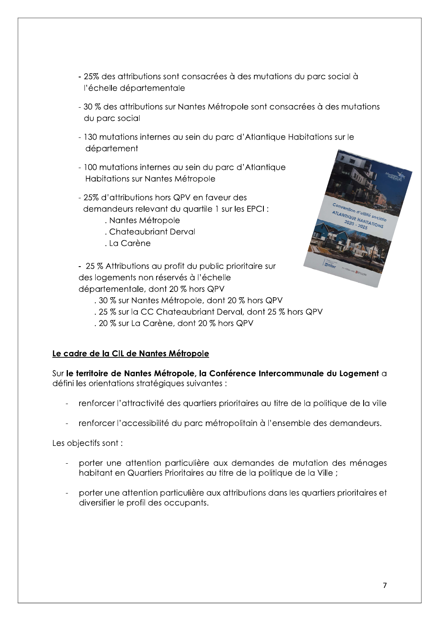- 25% des attributions sont consacrées à des mutations du parc social à l'échelle départementale
- 30 % des attributions sur Nantes Métropole sont consacrées à des mutations du parc social
- 130 mutations internes au sein du parc d'Atlantique Habitations sur le département
- 100 mutations internes au sein du parc d'Atlantique Habitations sur Nantes Métropole
- 25% d'attributions hors QPV en faveur des demandeurs relevant du auartile 1 sur les EPCI :
	- . Nantes Métropole
	- . Chateaubriant Derval
	- . La Carène

- 25 % Attributions au profit du public prioritaire sur des logements non réservés à l'échelle départementale, dont 20 % hors QPV

- .30 % sur Nantes Métropole, dont 20 % hors QPV
- . 25 % sur la CC Chateaubriant Derval, dont 25 % hors QPV
- . 20 % sur La Carène, dont 20 % hors QPV

## Le cadre de la CIL de Nantes Métropole

Sur le territoire de Nantes Métropole, la Conférence Intercommunale du Logement a défini les orientations stratégiques suivantes :

- renforcer l'attractivité des quartiers prioritaires au titre de la politique de la ville
- renforcer l'accessibilité du parc métropolitain à l'ensemble des demandeurs.

Les objectifs sont :

- porter une attention particulière aux demandes de mutation des ménages habitant en Quartiers Prioritaires au titre de la politique de la Ville ;
- porter une attention particulière aux attributions dans les quartiers prioritaires et diversifier le profil des occupants.